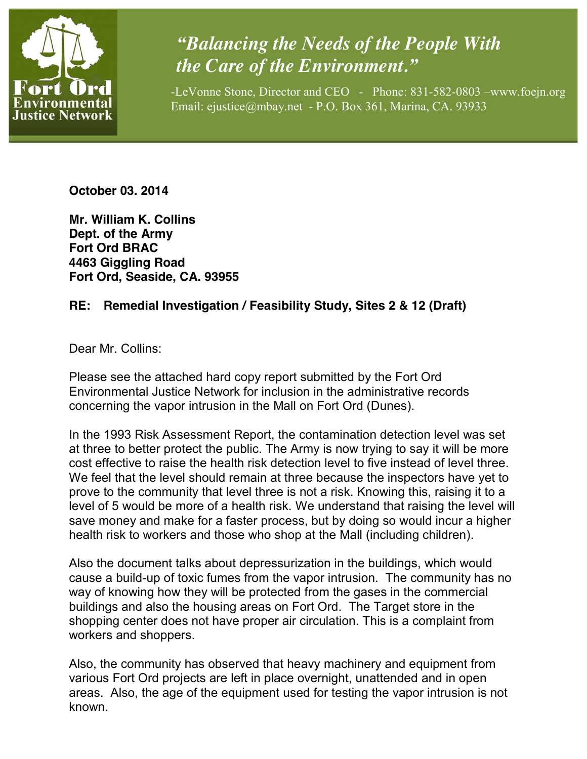

## *"Balancing the Needs of the People With the Care of the Environment."*

-LeVonne Stone, Director and CEO - Phone: 831-582-0803 –www.foejn.org Email: ejustice@mbay.net - P.O. Box 361, Marina, CA. 93933

**October 03. 2014**

**Mr. William K. Collins Dept. of the Army Fort Ord BRAC 4463 Giggling Road Fort Ord, Seaside, CA. 93955**

## **RE: Remedial Investigation / Feasibility Study, Sites 2 & 12 (Draft)**

Dear Mr. Collins:

Please see the attached hard copy report submitted by the Fort Ord Environmental Justice Network for inclusion in the administrative records concerning the vapor intrusion in the Mall on Fort Ord (Dunes).

In the 1993 Risk Assessment Report, the contamination detection level was set at three to better protect the public. The Army is now trying to say it will be more cost effective to raise the health risk detection level to five instead of level three. We feel that the level should remain at three because the inspectors have yet to prove to the community that level three is not a risk. Knowing this, raising it to a level of 5 would be more of a health risk. We understand that raising the level will save money and make for a faster process, but by doing so would incur a higher health risk to workers and those who shop at the Mall (including children).

Also the document talks about depressurization in the buildings, which would cause a build-up of toxic fumes from the vapor intrusion. The community has no way of knowing how they will be protected from the gases in the commercial buildings and also the housing areas on Fort Ord. The Target store in the shopping center does not have proper air circulation. This is a complaint from workers and shoppers.

Also, the community has observed that heavy machinery and equipment from various Fort Ord projects are left in place overnight, unattended and in open areas. Also, the age of the equipment used for testing the vapor intrusion is not known.